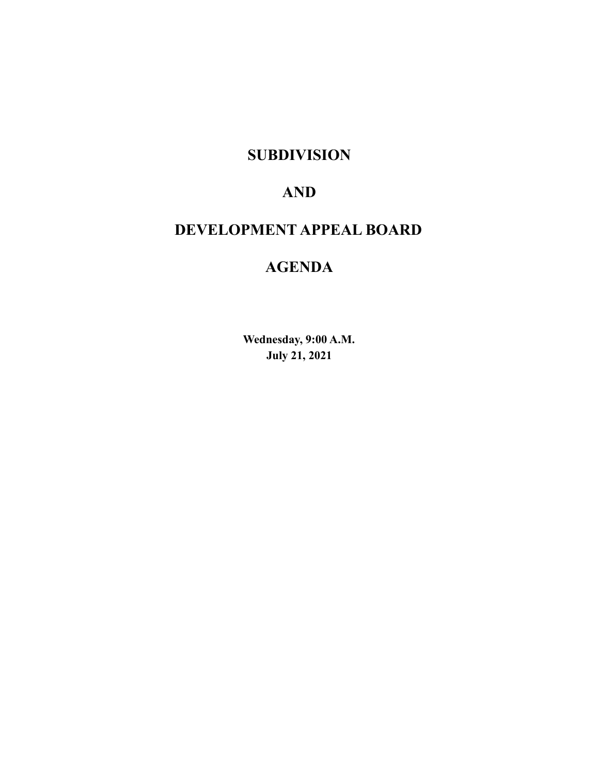## **SUBDIVISION**

# **AND**

# **DEVELOPMENT APPEAL BOARD**

# **AGENDA**

**Wednesday, 9:00 A.M. July 21, 2021**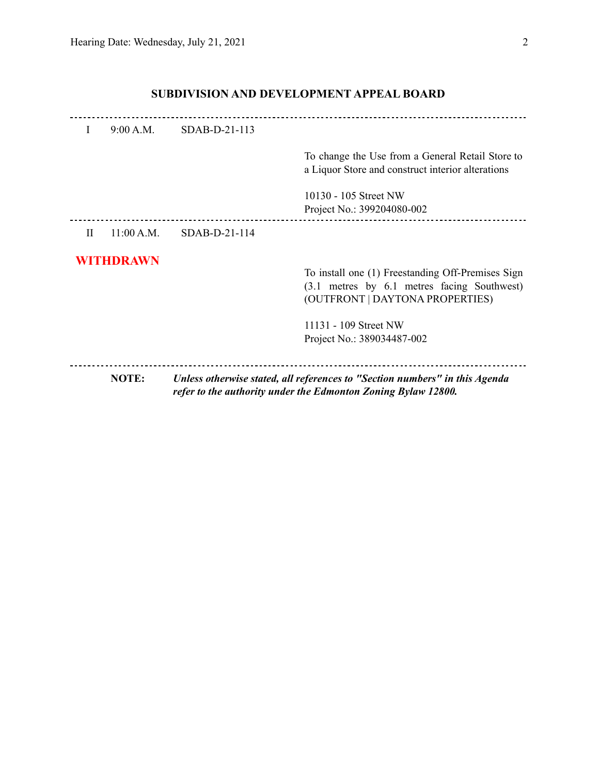| 9:00 A.M.<br>SDAB-D-21-113<br>Ι.<br>10130 - 105 Street NW<br>Project No.: 399204080-002<br>SDAB-D-21-114<br>$\mathbf{H}$<br>11:00 A.M.<br><b>WITHDRAWN</b><br>11131 - 109 Street NW<br>Project No.: 389034487-002 | NOTE: | Unless otherwise stated, all references to "Section numbers" in this Agenda<br>refer to the authority under the Edmonton Zoning Bylaw 12800. |
|-------------------------------------------------------------------------------------------------------------------------------------------------------------------------------------------------------------------|-------|----------------------------------------------------------------------------------------------------------------------------------------------|
|                                                                                                                                                                                                                   |       |                                                                                                                                              |
|                                                                                                                                                                                                                   |       | To install one (1) Freestanding Off-Premises Sign<br>(3.1 metres by 6.1 metres facing Southwest)<br>(OUTFRONT   DAYTONA PROPERTIES)          |
|                                                                                                                                                                                                                   |       |                                                                                                                                              |
|                                                                                                                                                                                                                   |       |                                                                                                                                              |
|                                                                                                                                                                                                                   |       | To change the Use from a General Retail Store to<br>a Liquor Store and construct interior alterations                                        |
|                                                                                                                                                                                                                   |       |                                                                                                                                              |

## **SUBDIVISION AND DEVELOPMENT APPEAL BOARD**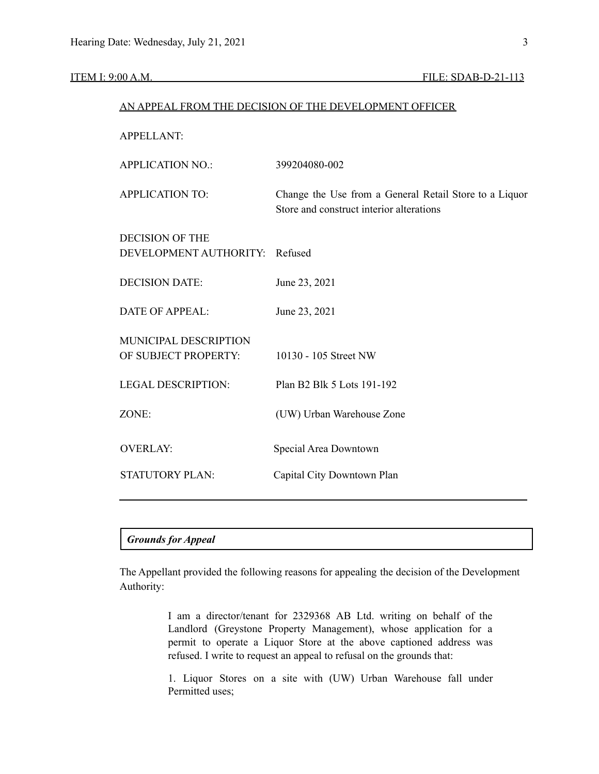#### ITEM I: 9:00 A.M. **FILE: SDAB-D-21-113**

|                                                  | AN APPEAL FROM THE DECISION OF THE DEVELOPMENT OFFICER                                             |
|--------------------------------------------------|----------------------------------------------------------------------------------------------------|
| <b>APPELLANT:</b>                                |                                                                                                    |
| <b>APPLICATION NO.:</b>                          | 399204080-002                                                                                      |
| <b>APPLICATION TO:</b>                           | Change the Use from a General Retail Store to a Liquor<br>Store and construct interior alterations |
| <b>DECISION OF THE</b><br>DEVELOPMENT AUTHORITY: | Refused                                                                                            |
| <b>DECISION DATE:</b>                            | June 23, 2021                                                                                      |
| <b>DATE OF APPEAL:</b>                           | June 23, 2021                                                                                      |
| MUNICIPAL DESCRIPTION<br>OF SUBJECT PROPERTY:    | 10130 - 105 Street NW                                                                              |
| <b>LEGAL DESCRIPTION:</b>                        | Plan B2 Blk 5 Lots 191-192                                                                         |
| ZONE:                                            | (UW) Urban Warehouse Zone                                                                          |
| <b>OVERLAY:</b>                                  | Special Area Downtown                                                                              |
| <b>STATUTORY PLAN:</b>                           | Capital City Downtown Plan                                                                         |
|                                                  |                                                                                                    |

#### *Grounds for Appeal*

The Appellant provided the following reasons for appealing the decision of the Development Authority:

> I am a director/tenant for 2329368 AB Ltd. writing on behalf of the Landlord (Greystone Property Management), whose application for a permit to operate a Liquor Store at the above captioned address was refused. I write to request an appeal to refusal on the grounds that:

> 1. Liquor Stores on a site with (UW) Urban Warehouse fall under Permitted uses;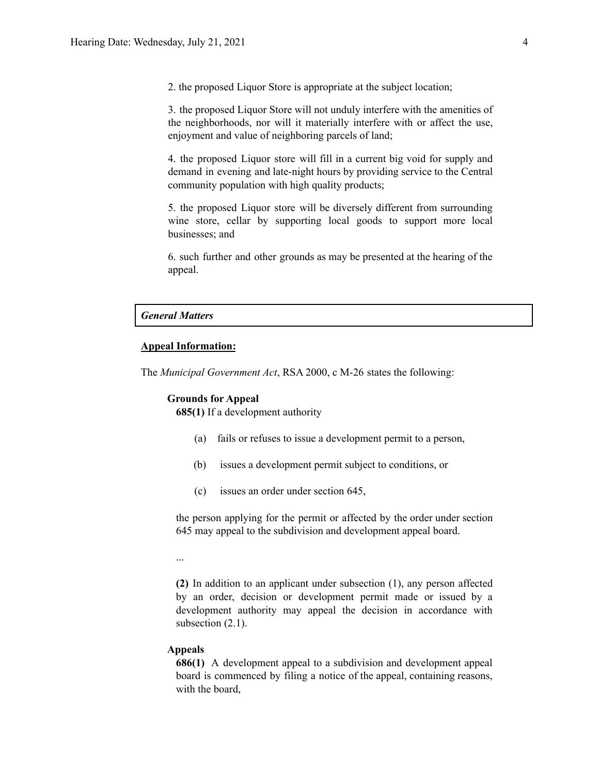2. the proposed Liquor Store is appropriate at the subject location;

3. the proposed Liquor Store will not unduly interfere with the amenities of the neighborhoods, nor will it materially interfere with or affect the use, enjoyment and value of neighboring parcels of land;

4. the proposed Liquor store will fill in a current big void for supply and demand in evening and late-night hours by providing service to the Central community population with high quality products;

5. the proposed Liquor store will be diversely different from surrounding wine store, cellar by supporting local goods to support more local businesses; and

6. such further and other grounds as may be presented at the hearing of the appeal.

#### *General Matters*

### **Appeal Information:**

The *Municipal Government Act*, RSA 2000, c M-26 states the following:

#### **Grounds for Appeal**

**685(1)** If a development authority

- (a) fails or refuses to issue a development permit to a person,
- (b) issues a development permit subject to conditions, or
- (c) issues an order under section 645,

the person applying for the permit or affected by the order under section 645 may appeal to the subdivision and development appeal board.

...

**(2)** In addition to an applicant under subsection (1), any person affected by an order, decision or development permit made or issued by a development authority may appeal the decision in accordance with subsection  $(2.1)$ .

#### **Appeals**

**686(1)** A development appeal to a subdivision and development appeal board is commenced by filing a notice of the appeal, containing reasons, with the board,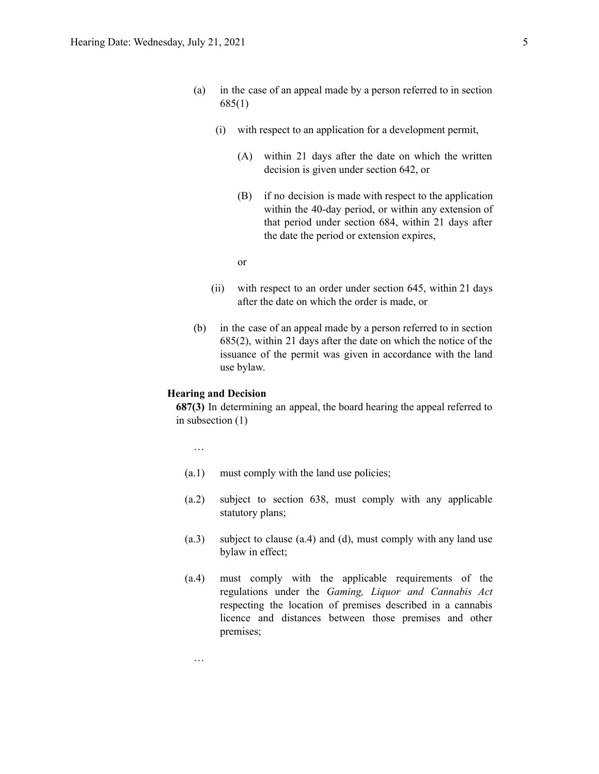- (a) in the case of an appeal made by a person referred to in section 685(1)
	- (i) with respect to an application for a development permit,
		- (A) within 21 days after the date on which the written decision is given under section 642, or
		- (B) if no decision is made with respect to the application within the 40-day period, or within any extension of that period under section 684, within 21 days after the date the period or extension expires,

or

- (ii) with respect to an order under section 645, within 21 days after the date on which the order is made, or
- (b) in the case of an appeal made by a person referred to in section 685(2), within 21 days after the date on which the notice of the issuance of the permit was given in accordance with the land use bylaw.

#### **Hearing and Decision**

**687(3)** In determining an appeal, the board hearing the appeal referred to in subsection (1)

…

…

- (a.1) must comply with the land use policies;
- (a.2) subject to section 638, must comply with any applicable statutory plans;
- (a.3) subject to clause (a.4) and (d), must comply with any land use bylaw in effect;
- (a.4) must comply with the applicable requirements of the regulations under the *Gaming, Liquor and Cannabis Act* respecting the location of premises described in a cannabis licence and distances between those premises and other premises;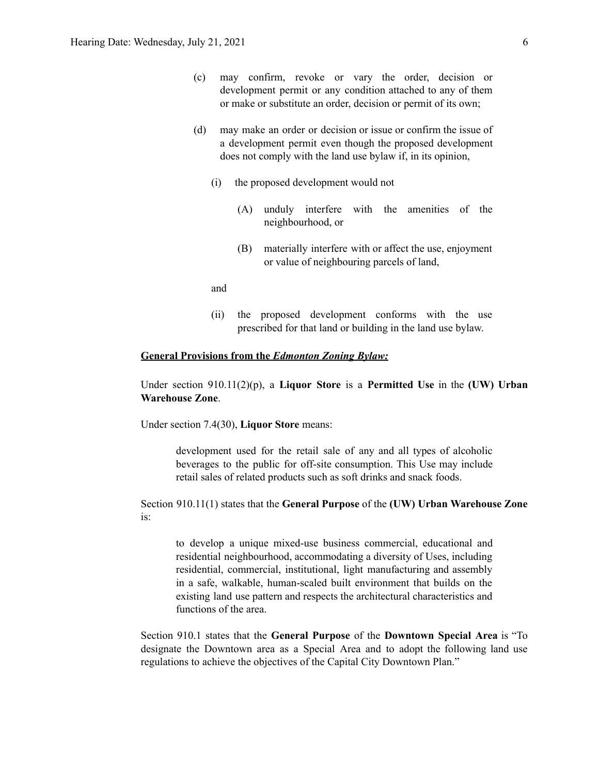- (c) may confirm, revoke or vary the order, decision or development permit or any condition attached to any of them or make or substitute an order, decision or permit of its own;
- (d) may make an order or decision or issue or confirm the issue of a development permit even though the proposed development does not comply with the land use bylaw if, in its opinion,
	- (i) the proposed development would not
		- (A) unduly interfere with the amenities of the neighbourhood, or
		- (B) materially interfere with or affect the use, enjoyment or value of neighbouring parcels of land,

and

(ii) the proposed development conforms with the use prescribed for that land or building in the land use bylaw.

#### **General Provisions from the** *Edmonton Zoning Bylaw:*

Under section 910.11(2)(p), a **Liquor Store** is a **Permitted Use** in the **(UW) Urban Warehouse Zone**.

Under section 7.4(30), **Liquor Store** means:

development used for the retail sale of any and all types of alcoholic beverages to the public for off-site consumption. This Use may include retail sales of related products such as soft drinks and snack foods.

Section 910.11(1) states that the **General Purpose** of the **(UW) Urban Warehouse Zone** is:

to develop a unique mixed-use business commercial, educational and residential neighbourhood, accommodating a diversity of Uses, including residential, commercial, institutional, light manufacturing and assembly in a safe, walkable, human-scaled built environment that builds on the existing land use pattern and respects the architectural characteristics and functions of the area.

Section 910.1 states that the **General Purpose** of the **Downtown Special Area** is "To designate the Downtown area as a Special Area and to adopt the following land use regulations to achieve the objectives of the Capital City Downtown Plan."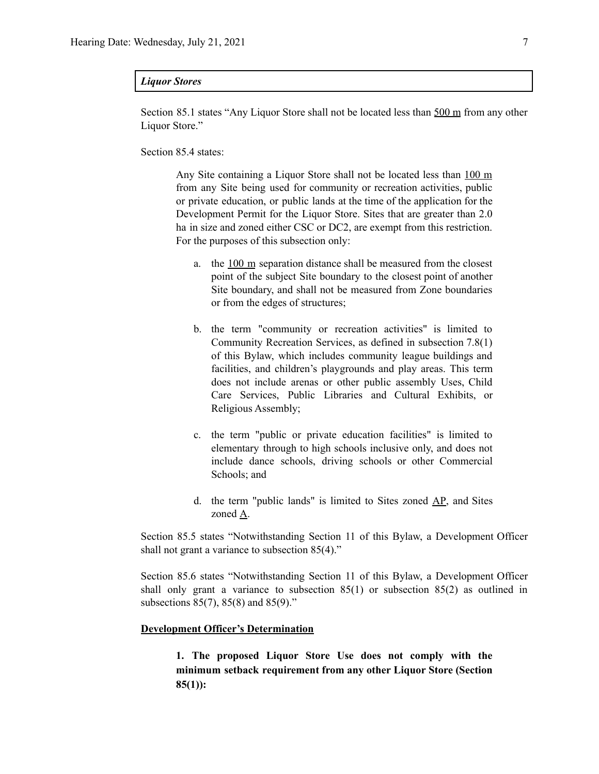#### *Liquor Stores*

Section 85.1 states "Any Liquor Store shall not be located less than 500 m from any other Liquor Store."

Section 85.4 states:

Any Site containing a Liquor Store shall not be located less than 100 m from any Site being used for community or recreation activities, public or private education, or public lands at the time of the application for the Development Permit for the Liquor Store. Sites that are greater than 2.0 ha in size and zoned either CSC or DC2, are exempt from this restriction. For the purposes of this subsection only:

- a. the  $100 \text{ m}$  separation distance shall be measured from the closest point of the subject Site boundary to the closest point of another Site boundary, and shall not be measured from Zone boundaries or from the edges of structures;
- b. the term "community or recreation activities" is limited to Community Recreation Services, as defined in subsection 7.8(1) of this Bylaw, which includes community league buildings and facilities, and children's playgrounds and play areas. This term does not include arenas or other public assembly Uses, Child Care Services, Public Libraries and Cultural Exhibits, or Religious Assembly;
- c. the term "public or private education facilities" is limited to elementary through to high schools inclusive only, and does not include dance schools, driving schools or other Commercial Schools; and
- d. the term "public lands" is limited to Sites zoned AP, and Sites zoned A.

Section 85.5 states "Notwithstanding Section 11 of this Bylaw, a Development Officer shall not grant a variance to subsection 85(4)."

Section 85.6 states "Notwithstanding Section 11 of this Bylaw, a Development Officer shall only grant a variance to subsection  $85(1)$  or subsection  $85(2)$  as outlined in subsections 85(7), 85(8) and 85(9)."

#### **Development Officer's Determination**

**1. The proposed Liquor Store Use does not comply with the minimum setback requirement from any other Liquor Store (Section 85(1)):**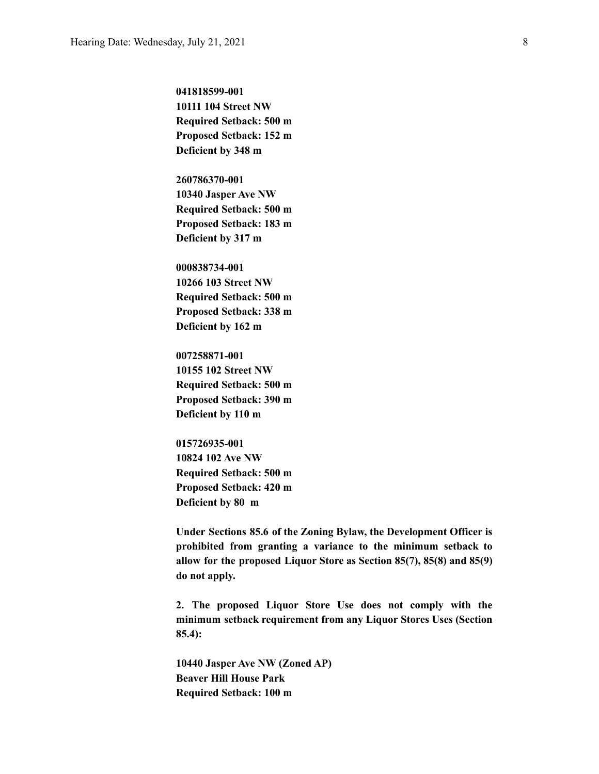**041818599-001 10111 104 Street NW Required Setback: 500 m Proposed Setback: 152 m Deficient by 348 m**

**260786370-001 10340 Jasper Ave NW Required Setback: 500 m Proposed Setback: 183 m Deficient by 317 m**

**000838734-001 10266 103 Street NW Required Setback: 500 m Proposed Setback: 338 m Deficient by 162 m**

**007258871-001 10155 102 Street NW Required Setback: 500 m Proposed Setback: 390 m Deficient by 110 m**

**015726935-001 10824 102 Ave NW Required Setback: 500 m Proposed Setback: 420 m Deficient by 80 m**

**Under Sections 85.6 of the Zoning Bylaw, the Development Officer is prohibited from granting a variance to the minimum setback to allow for the proposed Liquor Store as Section 85(7), 85(8) and 85(9) do not apply.**

**2. The proposed Liquor Store Use does not comply with the minimum setback requirement from any Liquor Stores Uses (Section 85.4):**

**10440 Jasper Ave NW (Zoned AP) Beaver Hill House Park Required Setback: 100 m**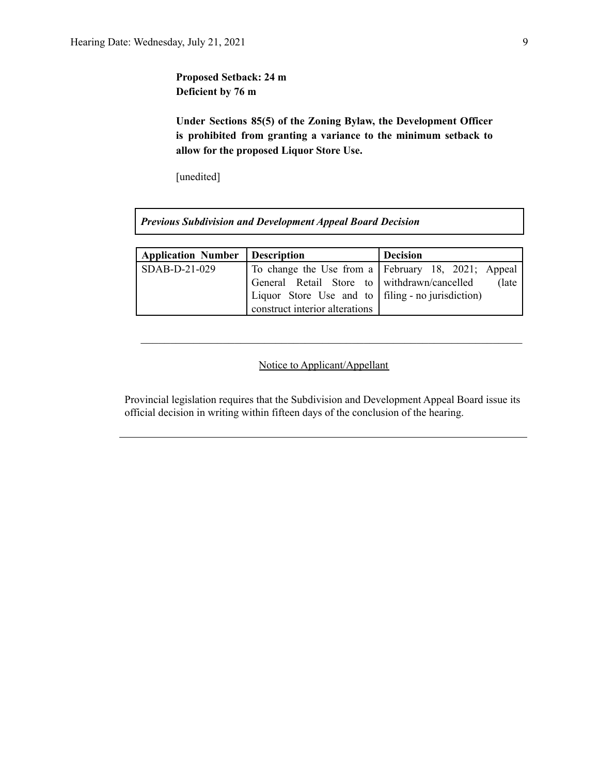**Proposed Setback: 24 m Deficient by 76 m**

**Under Sections 85(5) of the Zoning Bylaw, the Development Officer is prohibited from granting a variance to the minimum setback to allow for the proposed Liquor Store Use.**

[unedited]

*Previous Subdivision and Development Appeal Board Decision*

| <b>Application Number</b> | <b>Description</b>                                  | <b>Decision</b>                                    |
|---------------------------|-----------------------------------------------------|----------------------------------------------------|
| $SDAB-D-21-029$           |                                                     | To change the Use from a February 18, 2021; Appeal |
|                           | General Retail Store to withdrawn/cancelled         | (late)                                             |
|                           | Liquor Store Use and to   filing - no jurisdiction) |                                                    |
|                           | construct interior alterations                      |                                                    |

## Notice to Applicant/Appellant

 $\mathcal{L}_\text{max} = \frac{1}{2} \sum_{i=1}^n \mathcal{L}_\text{max}(\mathbf{z}_i - \mathbf{z}_i)$ 

Provincial legislation requires that the Subdivision and Development Appeal Board issue its official decision in writing within fifteen days of the conclusion of the hearing.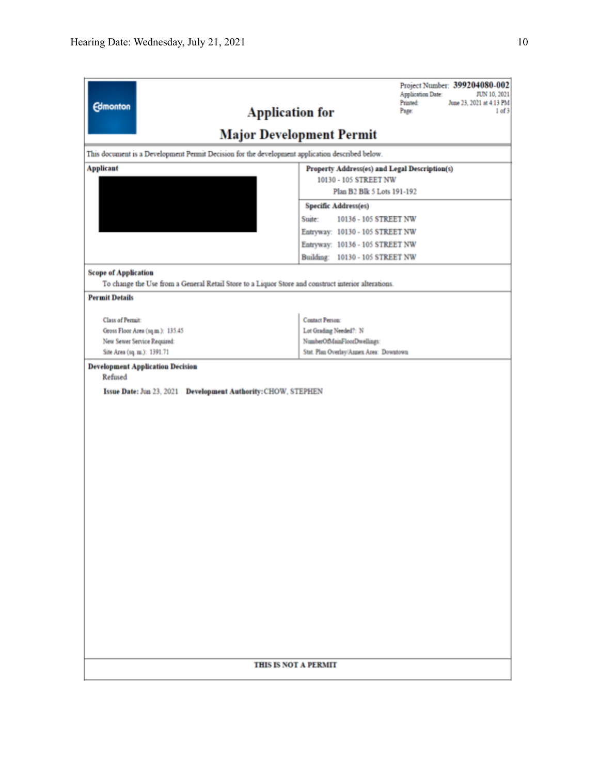| <b>Edmonton</b><br><b>Application for</b>                                                           | Project Number: 399204080-002<br><b>Application Date:</b><br>JUN 10, 2021<br>Printed:<br>June 23, 2021 at 4:13 PM<br>Page:<br>1 of 3 |  |  |  |
|-----------------------------------------------------------------------------------------------------|--------------------------------------------------------------------------------------------------------------------------------------|--|--|--|
|                                                                                                     | <b>Major Development Permit</b>                                                                                                      |  |  |  |
| This document is a Development Permit Decision for the development application described below.     |                                                                                                                                      |  |  |  |
| <b>Applicant</b>                                                                                    | Property Address(es) and Legal Description(s)                                                                                        |  |  |  |
|                                                                                                     | 10130 - 105 STREET NW<br>Plan B2 Blk 5 Lots 191-192                                                                                  |  |  |  |
|                                                                                                     | <b>Specific Address(es)</b>                                                                                                          |  |  |  |
|                                                                                                     | Suite:<br>10136 - 105 STREET NW                                                                                                      |  |  |  |
|                                                                                                     | Entryway: 10130 - 105 STREET NW                                                                                                      |  |  |  |
|                                                                                                     | Entryway: 10136 - 105 STREET NW                                                                                                      |  |  |  |
|                                                                                                     | Building: 10130 - 105 STREET NW                                                                                                      |  |  |  |
| <b>Scope of Application</b>                                                                         |                                                                                                                                      |  |  |  |
| To change the Use from a General Retail Store to a Liquor Store and construct interior alterations. |                                                                                                                                      |  |  |  |
| <b>Permit Details</b>                                                                               |                                                                                                                                      |  |  |  |
| Class of Permit:                                                                                    | Contact Person:                                                                                                                      |  |  |  |
| Gross Floor Area (sq.m.): 135.45                                                                    | Lot Grading Needed?: N                                                                                                               |  |  |  |
| New Sewer Service Required:                                                                         | NumberOfMainFloorDwellings:                                                                                                          |  |  |  |
| Site Area (sq. m.): 1391.71                                                                         | Stat. Plan Overlay/Annex Area: Downtown                                                                                              |  |  |  |
| Issue Date: Jun 23, 2021 Development Authority: CHOW, STEPHEN                                       |                                                                                                                                      |  |  |  |
| THIS IS NOT A PERMIT                                                                                |                                                                                                                                      |  |  |  |
|                                                                                                     |                                                                                                                                      |  |  |  |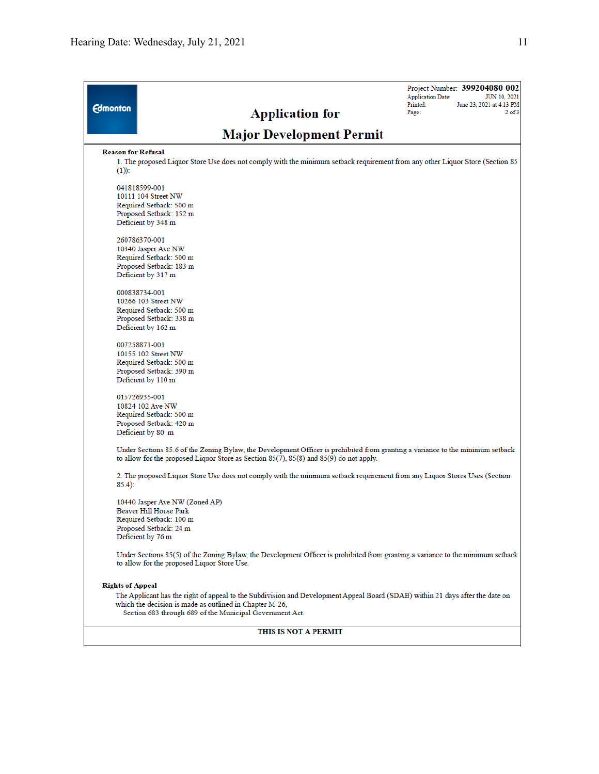| <b>Edmonton</b>           | <b>Application for</b>                                                                                                                                                                                                          | <b>Application Date:</b><br>Printed:<br>Page: | Project Number: 399204080-002<br><b>JUN 10, 2021</b><br>June 23, 2021 at 4:13 PM<br>$2$ of $3$ |
|---------------------------|---------------------------------------------------------------------------------------------------------------------------------------------------------------------------------------------------------------------------------|-----------------------------------------------|------------------------------------------------------------------------------------------------|
|                           | <b>Major Development Permit</b>                                                                                                                                                                                                 |                                               |                                                                                                |
| <b>Reason for Refusal</b> |                                                                                                                                                                                                                                 |                                               |                                                                                                |
| $(1)$ :                   | 1. The proposed Liquor Store Use does not comply with the minimum setback requirement from any other Liquor Store (Section 85                                                                                                   |                                               |                                                                                                |
|                           | 041818599-001                                                                                                                                                                                                                   |                                               |                                                                                                |
|                           | 10111 104 Street NW                                                                                                                                                                                                             |                                               |                                                                                                |
|                           | Required Setback: 500 m<br>Proposed Setback: 152 m                                                                                                                                                                              |                                               |                                                                                                |
|                           | Deficient by 348 m                                                                                                                                                                                                              |                                               |                                                                                                |
|                           | 260786370-001                                                                                                                                                                                                                   |                                               |                                                                                                |
|                           | 10340 Jasper Ave NW                                                                                                                                                                                                             |                                               |                                                                                                |
|                           | Required Setback: 500 m<br>Proposed Setback: 183 m                                                                                                                                                                              |                                               |                                                                                                |
|                           | Deficient by 317 m                                                                                                                                                                                                              |                                               |                                                                                                |
|                           | 000838734-001                                                                                                                                                                                                                   |                                               |                                                                                                |
|                           | 10266 103 Street NW                                                                                                                                                                                                             |                                               |                                                                                                |
|                           | Required Setback: 500 m<br>Proposed Setback: 338 m                                                                                                                                                                              |                                               |                                                                                                |
|                           | Deficient by 162 m                                                                                                                                                                                                              |                                               |                                                                                                |
|                           | 007258871-001                                                                                                                                                                                                                   |                                               |                                                                                                |
|                           | 10155 102 Street NW                                                                                                                                                                                                             |                                               |                                                                                                |
|                           | Required Setback: 500 m<br>Proposed Setback: 390 m                                                                                                                                                                              |                                               |                                                                                                |
|                           | Deficient by 110 m                                                                                                                                                                                                              |                                               |                                                                                                |
|                           | 015726935-001                                                                                                                                                                                                                   |                                               |                                                                                                |
|                           | 10824 102 Ave NW                                                                                                                                                                                                                |                                               |                                                                                                |
|                           | Required Setback: 500 m                                                                                                                                                                                                         |                                               |                                                                                                |
|                           | Proposed Setback: 420 m<br>Deficient by 80 m                                                                                                                                                                                    |                                               |                                                                                                |
|                           | Under Sections 85.6 of the Zoning Bylaw, the Development Officer is prohibited from granting a variance to the minimum setback<br>to allow for the proposed Liquor Store as Section $85(7)$ , $85(8)$ and $85(9)$ do not apply. |                                               |                                                                                                |
|                           | 2. The proposed Liquor Store Use does not comply with the minimum setback requirement from any Liquor Stores Uses (Section                                                                                                      |                                               |                                                                                                |
| $85.4$ :                  |                                                                                                                                                                                                                                 |                                               |                                                                                                |
|                           | 10440 Jasper Ave NW (Zoned AP)                                                                                                                                                                                                  |                                               |                                                                                                |
|                           | Beaver Hill House Park                                                                                                                                                                                                          |                                               |                                                                                                |
|                           | Required Setback: 100 m<br>Proposed Setback: 24 m                                                                                                                                                                               |                                               |                                                                                                |
|                           | Deficient by 76 m                                                                                                                                                                                                               |                                               |                                                                                                |
|                           | Under Sections 85(5) of the Zoning Bylaw, the Development Officer is prohibited from granting a variance to the minimum setback<br>to allow for the proposed Liquor Store Use.                                                  |                                               |                                                                                                |
| <b>Rights of Appeal</b>   |                                                                                                                                                                                                                                 |                                               |                                                                                                |
|                           | The Applicant has the right of appeal to the Subdivision and Development Appeal Board (SDAB) within 21 days after the date on                                                                                                   |                                               |                                                                                                |
|                           | which the decision is made as outlined in Chapter M-26,<br>Section 683 through 689 of the Municipal Government Act.                                                                                                             |                                               |                                                                                                |
|                           | THIS IS NOT A PERMIT                                                                                                                                                                                                            |                                               |                                                                                                |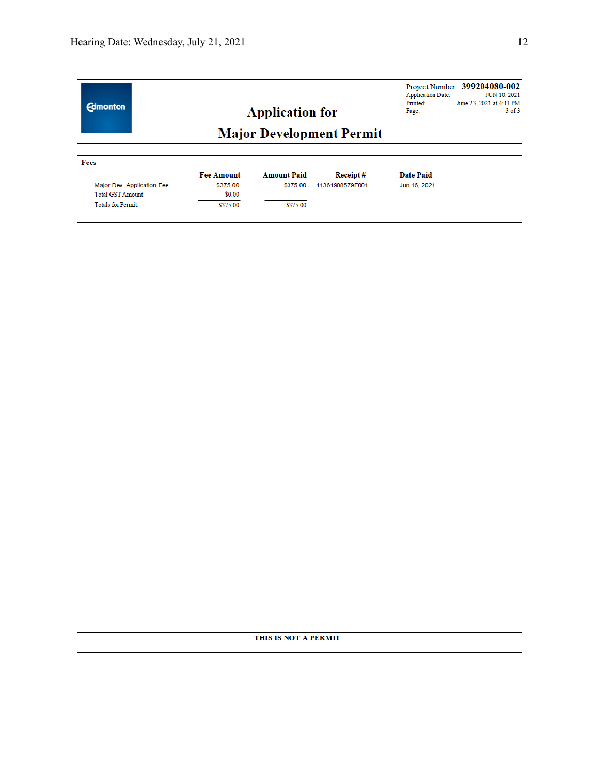| <b>Edmonton</b>                                                                     |                                                     | <b>Application for</b>                     | <b>Major Development Permit</b> | <b>Application Date:</b><br>Printed:<br>Page: | Project Number: 399204080-002<br>JUN 10, 2021<br>June 23, 2021 at 4:13 PM<br>$3$ of $3$ |
|-------------------------------------------------------------------------------------|-----------------------------------------------------|--------------------------------------------|---------------------------------|-----------------------------------------------|-----------------------------------------------------------------------------------------|
| Fees                                                                                |                                                     |                                            |                                 |                                               |                                                                                         |
| Major Dev. Application Fee<br><b>Total GST Amount:</b><br><b>Totals for Permit:</b> | <b>Fee Amount</b><br>\$375.00<br>\$0.00<br>\$375.00 | <b>Amount Paid</b><br>\$375.00<br>\$375.00 | Receipt#<br>11361908579F001     | <b>Date Paid</b><br>Jun 16, 2021              |                                                                                         |
|                                                                                     |                                                     |                                            |                                 |                                               |                                                                                         |
|                                                                                     |                                                     |                                            |                                 |                                               |                                                                                         |
|                                                                                     |                                                     |                                            |                                 |                                               |                                                                                         |
|                                                                                     |                                                     |                                            |                                 |                                               |                                                                                         |
|                                                                                     |                                                     |                                            |                                 |                                               |                                                                                         |
|                                                                                     |                                                     |                                            |                                 |                                               |                                                                                         |
|                                                                                     |                                                     |                                            |                                 |                                               |                                                                                         |
|                                                                                     |                                                     |                                            |                                 |                                               |                                                                                         |
|                                                                                     |                                                     |                                            |                                 |                                               |                                                                                         |
|                                                                                     |                                                     |                                            |                                 |                                               |                                                                                         |
|                                                                                     |                                                     |                                            |                                 |                                               |                                                                                         |
|                                                                                     |                                                     |                                            |                                 |                                               |                                                                                         |
|                                                                                     |                                                     |                                            |                                 |                                               |                                                                                         |
|                                                                                     |                                                     |                                            |                                 |                                               |                                                                                         |
|                                                                                     |                                                     |                                            |                                 |                                               |                                                                                         |
|                                                                                     |                                                     |                                            |                                 |                                               |                                                                                         |
|                                                                                     |                                                     | THIS IS NOT A PERMIT                       |                                 |                                               |                                                                                         |